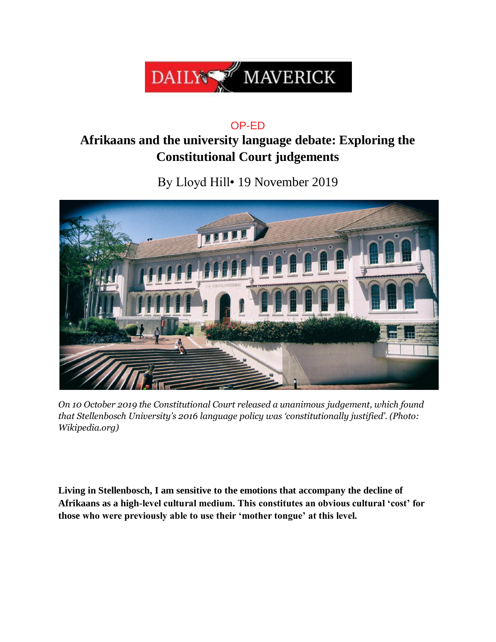

## OP-ED

## **Afrikaans and the university language debate: Exploring the Constitutional Court judgements**

By Lloyd Hill• 19 November 2019



*On 10 October 2019 the Constitutional Court released a unanimous judgement, which found that Stellenbosch University's 2016 language policy was 'constitutionally justified'. (Photo: Wikipedia.org)*

**Living in Stellenbosch, I am sensitive to the emotions that accompany the decline of Afrikaans as a high-level cultural medium. This constitutes an obvious cultural 'cost' for those who were previously able to use their 'mother tongue' at this level.**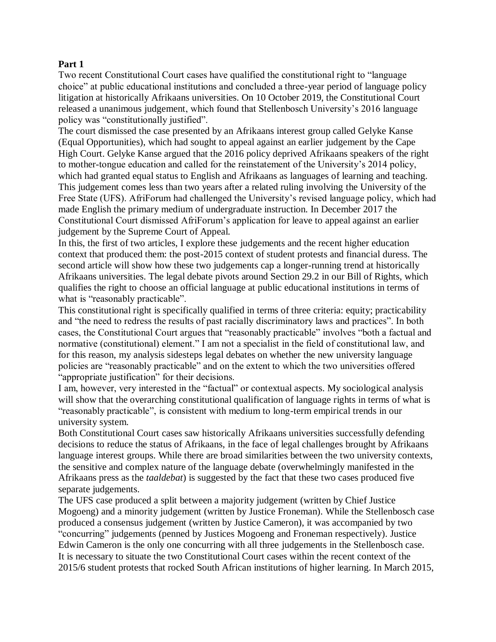## **Part 1**

Two recent Constitutional Court cases have qualified the constitutional right to "language choice" at public educational institutions and concluded a three-year period of language policy litigation at historically Afrikaans universities. On 10 October 2019, the Constitutional Court released a unanimous judgement, which found that Stellenbosch University's 2016 language policy was "constitutionally justified".

The court dismissed the case presented by an Afrikaans interest group called Gelyke Kanse (Equal Opportunities), which had sought to appeal against an earlier judgement by the Cape High Court. Gelyke Kanse argued that the 2016 policy deprived Afrikaans speakers of the right to mother-tongue education and called for the reinstatement of the University's 2014 policy, which had granted equal status to English and Afrikaans as languages of learning and teaching. This judgement comes less than two years after a related ruling involving the University of the Free State (UFS). AfriForum had challenged the University's revised language policy, which had made English the primary medium of undergraduate instruction. In December 2017 the Constitutional Court dismissed AfriForum's application for leave to appeal against an earlier judgement by the Supreme Court of Appeal.

In this, the first of two articles, I explore these judgements and the recent higher education context that produced them: the post-2015 context of student protests and financial duress. The second article will show how these two judgements cap a longer-running trend at historically Afrikaans universities. The legal debate pivots around Section 29.2 in our Bill of Rights, which qualifies the right to choose an official language at public educational institutions in terms of what is "reasonably practicable".

This constitutional right is specifically qualified in terms of three criteria: equity; practicability and "the need to redress the results of past racially discriminatory laws and practices". In both cases, the Constitutional Court argues that "reasonably practicable" involves "both a factual and normative (constitutional) element." I am not a specialist in the field of constitutional law, and for this reason, my analysis sidesteps legal debates on whether the new university language policies are "reasonably practicable" and on the extent to which the two universities offered "appropriate justification" for their decisions.

I am, however, very interested in the "factual" or contextual aspects. My sociological analysis will show that the overarching constitutional qualification of language rights in terms of what is "reasonably practicable", is consistent with medium to long-term empirical trends in our university system.

Both Constitutional Court cases saw historically Afrikaans universities successfully defending decisions to reduce the status of Afrikaans, in the face of legal challenges brought by Afrikaans language interest groups. While there are broad similarities between the two university contexts, the sensitive and complex nature of the language debate (overwhelmingly manifested in the Afrikaans press as the *taaldebat*) is suggested by the fact that these two cases produced five separate judgements.

The UFS case produced a split between a majority judgement (written by Chief Justice Mogoeng) and a minority judgement (written by Justice Froneman). While the Stellenbosch case produced a consensus judgement (written by Justice Cameron), it was accompanied by two "concurring" judgements (penned by Justices Mogoeng and Froneman respectively). Justice Edwin Cameron is the only one concurring with all three judgements in the Stellenbosch case. It is necessary to situate the two Constitutional Court cases within the recent context of the 2015/6 student protests that rocked South African institutions of higher learning. In March 2015,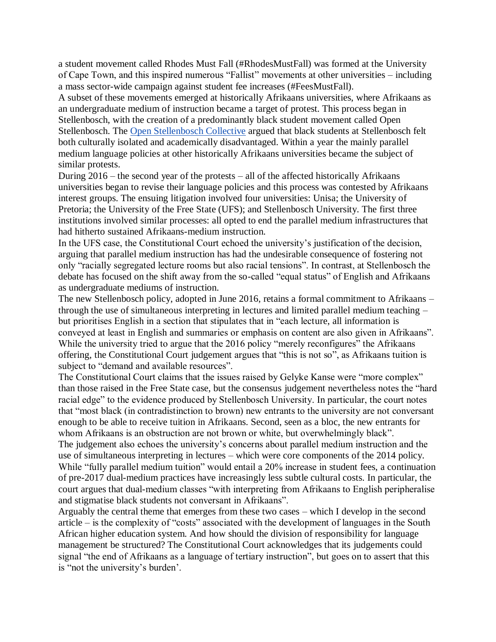a student movement called Rhodes Must Fall (#RhodesMustFall) was formed at the University of Cape Town, and this inspired numerous "Fallist" movements at other universities – including a mass sector-wide campaign against student fee increases (#FeesMustFall).

A subset of these movements emerged at historically Afrikaans universities, where Afrikaans as an undergraduate medium of instruction became a target of protest. This process began in Stellenbosch, with the creation of a predominantly black student movement called Open Stellenbosch. The [Open Stellenbosch Collective](https://www.dailymaverick.co.za/article/2015-04-28-op-ed-open-stellenbosch-tackling-language-and-exclusion-at-stellenbosch-university/) argued that black students at Stellenbosch felt both culturally isolated and academically disadvantaged. Within a year the mainly parallel medium language policies at other historically Afrikaans universities became the subject of similar protests.

During 2016 – the second year of the protests – all of the affected historically Afrikaans universities began to revise their language policies and this process was contested by Afrikaans interest groups. The ensuing litigation involved four universities: Unisa; the University of Pretoria; the University of the Free State (UFS); and Stellenbosch University. The first three institutions involved similar processes: all opted to end the parallel medium infrastructures that had hitherto sustained Afrikaans-medium instruction.

In the UFS case, the Constitutional Court echoed the university's justification of the decision, arguing that parallel medium instruction has had the undesirable consequence of fostering not only "racially segregated lecture rooms but also racial tensions". In contrast, at Stellenbosch the debate has focused on the shift away from the so-called "equal status" of English and Afrikaans as undergraduate mediums of instruction.

The new Stellenbosch policy, adopted in June 2016, retains a formal commitment to Afrikaans – through the use of simultaneous interpreting in lectures and limited parallel medium teaching – but prioritises English in a section that stipulates that in "each lecture, all information is conveyed at least in English and summaries or emphasis on content are also given in Afrikaans". While the university tried to argue that the 2016 policy "merely reconfigures" the Afrikaans offering, the Constitutional Court judgement argues that "this is not so", as Afrikaans tuition is subject to "demand and available resources".

The Constitutional Court claims that the issues raised by Gelyke Kanse were "more complex" than those raised in the Free State case, but the consensus judgement nevertheless notes the "hard racial edge" to the evidence produced by Stellenbosch University. In particular, the court notes that "most black (in contradistinction to brown) new entrants to the university are not conversant enough to be able to receive tuition in Afrikaans. Second, seen as a bloc, the new entrants for whom Afrikaans is an obstruction are not brown or white, but overwhelmingly black". The judgement also echoes the university's concerns about parallel medium instruction and the use of simultaneous interpreting in lectures – which were core components of the 2014 policy. While "fully parallel medium tuition" would entail a 20% increase in student fees, a continuation of pre-2017 dual-medium practices have increasingly less subtle cultural costs. In particular, the

court argues that dual-medium classes "with interpreting from Afrikaans to English peripheralise and stigmatise black students not conversant in Afrikaans".

Arguably the central theme that emerges from these two cases – which I develop in the second article – is the complexity of "costs" associated with the development of languages in the South African higher education system. And how should the division of responsibility for language management be structured? The Constitutional Court acknowledges that its judgements could signal "the end of Afrikaans as a language of tertiary instruction", but goes on to assert that this is "not the university's burden'.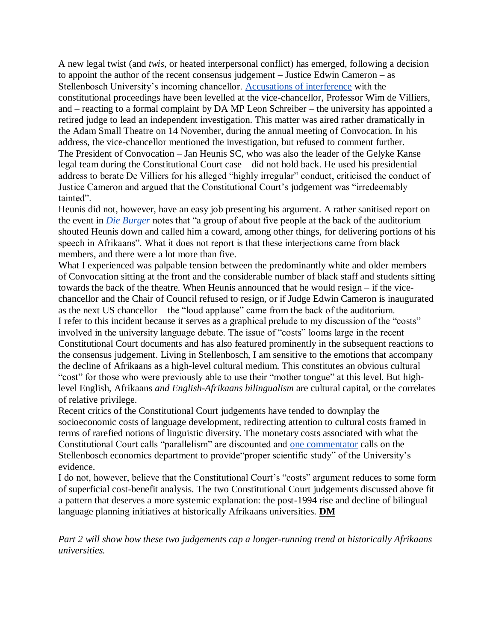A new legal twist (and *twis*, or heated interpersonal conflict) has emerged, following a decision to appoint the author of the recent consensus judgement – Justice Edwin Cameron – as Stellenbosch University's incoming chancellor. [Accusations of interference](https://www.politicsweb.co.za/comment/the-su-gelyke-kanse-and-concourt-controversy) with the constitutional proceedings have been levelled at the vice-chancellor, Professor Wim de Villiers, and – reacting to a formal complaint by DA MP Leon Schreiber – the university has appointed a retired judge to lead an independent investigation. This matter was aired rather dramatically in the Adam Small Theatre on 14 November, during the annual meeting of Convocation. In his address, the vice-chancellor mentioned the investigation, but refused to comment further. The President of Convocation – Jan Heunis SC, who was also the leader of the Gelyke Kanse legal team during the Constitutional Court case – did not hold back. He used his presidential address to berate De Villiers for his alleged "highly irregular" conduct, criticised the conduct of Justice Cameron and argued that the Constitutional Court's judgement was "irredeemably tainted".

Heunis did not, however, have an easy job presenting his argument. A rather sanitised report on the event in *[Die Burger](https://www.netwerk24.com/Nuus/Onderwys/wim-de-villiers-se-kop-geeis-by-us-konvokasie-20191114)* notes that "a group of about five people at the back of the auditorium shouted Heunis down and called him a coward, among other things, for delivering portions of his speech in Afrikaans". What it does not report is that these interjections came from black members, and there were a lot more than five.

What I experienced was palpable tension between the predominantly white and older members of Convocation sitting at the front and the considerable number of black staff and students sitting towards the back of the theatre. When Heunis announced that he would resign – if the vicechancellor and the Chair of Council refused to resign, or if Judge Edwin Cameron is inaugurated as the next US chancellor – the "loud applause" came from the back of the auditorium. I refer to this incident because it serves as a graphical prelude to my discussion of the "costs" involved in the university language debate. The issue of "costs" looms large in the recent Constitutional Court documents and has also featured prominently in the subsequent reactions to the consensus judgement. Living in Stellenbosch, I am sensitive to the emotions that accompany the decline of Afrikaans as a high-level cultural medium. This constitutes an obvious cultural "cost" for those who were previously able to use their "mother tongue" at this level. But highlevel English, Afrikaans *and English-Afrikaans bilingualism* are cultural capital, or the correlates of relative privilege.

Recent critics of the Constitutional Court judgements have tended to downplay the socioeconomic costs of language development, redirecting attention to cultural costs framed in terms of rarefied notions of linguistic diversity. The monetary costs associated with what the Constitutional Court calls "parallelism" are discounted and [one commentator](https://www.netwerk24.com/Stemme/Menings/die-koste-van-die-us-uitspraak-20191015) calls on the Stellenbosch economics department to provide"proper scientific study" of the University's evidence.

I do not, however, believe that the Constitutional Court's "costs" argument reduces to some form of superficial cost-benefit analysis. The two Constitutional Court judgements discussed above fit a pattern that deserves a more systemic explanation: the post-1994 rise and decline of bilingual language planning initiatives at historically Afrikaans universities. **DM**

*Part 2 will show how these two judgements cap a longer-running trend at historically Afrikaans universities.*